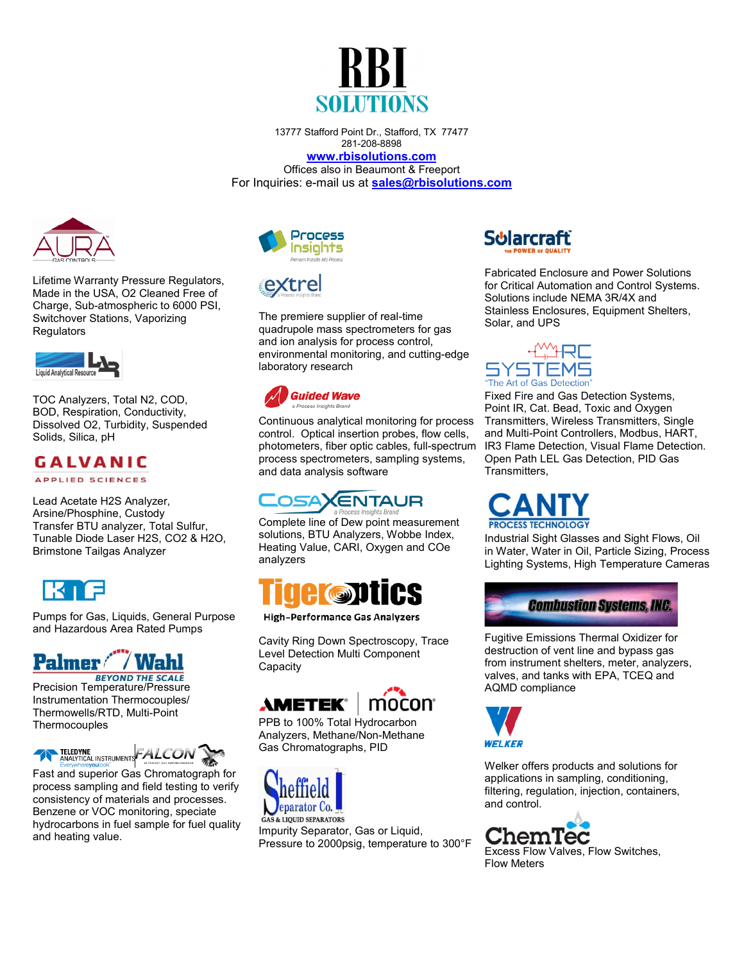

13777 Stafford Point Dr., Stafford, TX 77477 281-208-8898

**[www.rbisolutions.com](http://www.rbisolutions.com/)** Offices also in Beaumont & Freeport For Inquiries: e-mail us at **[sales@rbisolutions.com](mailto:sales@rbisolutions.com)** 



Lifetime Warranty Pressure Regulators, Made in the USA, O2 Cleaned Free of Charge, Sub-atmospheric to 6000 PSI, Switchover Stations, Vaporizing **Regulators** 



TOC Analyzers, Total N2, COD, BOD, Respiration, Conductivity, Dissolved O2, Turbidity, Suspended Solids, Silica, pH

## **GALVANIC**

**APPLIED SCIENCES** 

Lead Acetate H2S Analyzer, Arsine/Phosphine, Custody Transfer BTU analyzer, Total Sulfur, Tunable Diode Laser H2S, CO2 & H2O, Brimstone Tailgas Analyzer



Pumps for Gas, Liquids, General Purpose and Hazardous Area Rated Pumps

## **Palmer** / Wahl

**BEYOND THE SCALE** Precision Temperature/Pressure Instrumentation Thermocouples/ Thermowells/RTD, Multi-Point **Thermocouples** 



Fast and superior Gas Chromatograph for process sampling and field testing to verify consistency of materials and processes. Benzene or VOC monitoring, speciate hydrocarbons in fuel sample for fuel quality and heating value.





The premiere supplier of real-time quadrupole mass spectrometers for gas and ion analysis for process control, environmental monitoring, and cutting-edge laboratory research



Continuous analytical monitoring for process control. [Optical insertion probes, flow cells,](https://guided-wave.com/sample-interfaces/) photometers, fiber optic cables, full-spectrum process spectrometers, sampling systems, and data analysis software

## **OSAXENTAUR**

Complete line of Dew point measurement solutions, BTU Analyzers, Wobbe Index, Heating Value, CARI, Oxygen and COe analyzers



**High-Performance Gas Analyzers** 

Cavity Ring Down Spectroscopy, Trace Level Detection Multi Component **Capacity** 





PPB to 100% Total Hydrocarbon Analyzers, Methane/Non-Methane Gas Chromatographs, PID



Impurity Separator, Gas or Liquid, Pressure to 2000psig, temperature to 300°F



Fabricated Enclosure and Power Solutions for Critical Automation and Control Systems. Solutions include NEMA 3R/4X and Stainless Enclosures, Equipment Shelters, Solar, and UPS



Fixed Fire and Gas Detection Systems, Point IR, Cat. Bead, Toxic and Oxygen Transmitters, Wireless Transmitters, Single and Multi-Point Controllers, Modbus, HART, IR3 Flame Detection, Visual Flame Detection. Open Path LEL Gas Detection, PID Gas Transmitters,

**DCESS TECHNOLOGY** 

Industrial Sight Glasses and Sight Flows, Oil in Water, Water in Oil, Particle Sizing, Process Lighting Systems, High Temperature Cameras



Fugitive Emissions Thermal Oxidizer for destruction of vent line and bypass gas from instrument shelters, meter, analyzers, valves, and tanks with EPA, TCEQ and AQMD compliance



Welker offers products and solutions for applications in sampling, conditioning, filtering, regulation, injection, containers, and control.

ChemTec Excess Flow Valves, Flow Switches, Flow Meters